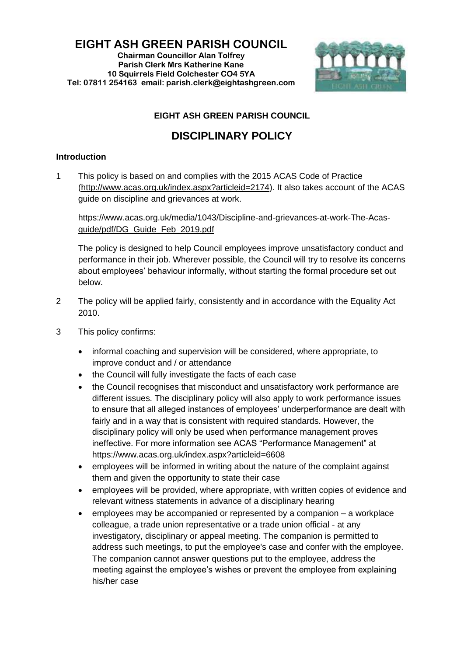**EIGHT ASH GREEN PARISH COUNCIL**

**Chairman Councillor Alan Tolfrey Parish Clerk Mrs Katherine Kane 10 Squirrels Field Colchester CO4 5YA Tel: 07811 254163 email: parish.clerk@eightashgreen.com**



## **EIGHT ASH GREEN PARISH COUNCIL**

## **DISCIPLINARY POLICY**

## **Introduction**

1 This policy is based on and complies with the 2015 ACAS Code of Practice [\(http://www.acas.org.uk/index.aspx?articleid=2174\)](http://www.acas.org.uk/index.aspx?articleid=2174). It also takes account of the ACAS guide on discipline and grievances at work.

[https://www.acas.org.uk/media/1043/Discipline-and-grievances-at-work-The-Acas](https://www.acas.org.uk/media/1043/Discipline-and-grievances-at-work-The-Acas-guide/pdf/DG_Guide_Feb_2019.pdf)[guide/pdf/DG\\_Guide\\_Feb\\_2019.pdf](https://www.acas.org.uk/media/1043/Discipline-and-grievances-at-work-The-Acas-guide/pdf/DG_Guide_Feb_2019.pdf)

The policy is designed to help Council employees improve unsatisfactory conduct and performance in their job. Wherever possible, the Council will try to resolve its concerns about employees' behaviour informally, without starting the formal procedure set out below.

- 2 The policy will be applied fairly, consistently and in accordance with the Equality Act 2010.
- 3 This policy confirms:
	- informal coaching and supervision will be considered, where appropriate, to improve conduct and / or attendance
	- the Council will fully investigate the facts of each case
	- the Council recognises that misconduct and unsatisfactory work performance are different issues. The disciplinary policy will also apply to work performance issues to ensure that all alleged instances of employees' underperformance are dealt with fairly and in a way that is consistent with required standards. However, the disciplinary policy will only be used when performance management proves ineffective. For more information see ACAS "Performance Management" at <https://www.acas.org.uk/index.aspx?articleid=6608>
	- employees will be informed in writing about the nature of the complaint against them and given the opportunity to state their case
	- employees will be provided, where appropriate, with written copies of evidence and relevant witness statements in advance of a disciplinary hearing
	- employees may be accompanied or represented by a companion a workplace colleague, a trade union representative or a trade union official - at any investigatory, disciplinary or appeal meeting. The companion is permitted to address such meetings, to put the employee's case and confer with the employee. The companion cannot answer questions put to the employee, address the meeting against the employee's wishes or prevent the employee from explaining his/her case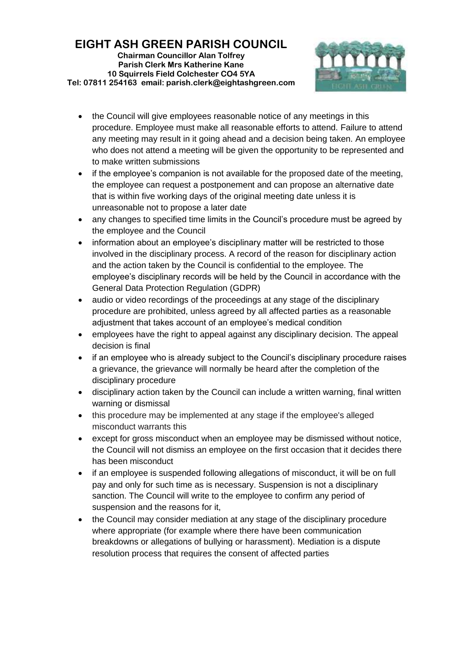

- the Council will give employees reasonable notice of any meetings in this procedure. Employee must make all reasonable efforts to attend. Failure to attend any meeting may result in it going ahead and a decision being taken. An employee who does not attend a meeting will be given the opportunity to be represented and to make written submissions
- if the employee's companion is not available for the proposed date of the meeting, the employee can request a postponement and can propose an alternative date that is within five working days of the original meeting date unless it is unreasonable not to propose a later date
- any changes to specified time limits in the Council's procedure must be agreed by the employee and the Council
- information about an employee's disciplinary matter will be restricted to those involved in the disciplinary process. A record of the reason for disciplinary action and the action taken by the Council is confidential to the employee. The employee's disciplinary records will be held by the Council in accordance with the General Data Protection Regulation (GDPR)
- audio or video recordings of the proceedings at any stage of the disciplinary procedure are prohibited, unless agreed by all affected parties as a reasonable adjustment that takes account of an employee's medical condition
- employees have the right to appeal against any disciplinary decision. The appeal decision is final
- if an employee who is already subject to the Council's disciplinary procedure raises a grievance, the grievance will normally be heard after the completion of the disciplinary procedure
- disciplinary action taken by the Council can include a written warning, final written warning or dismissal
- this procedure may be implemented at any stage if the employee's alleged misconduct warrants this
- except for gross misconduct when an employee may be dismissed without notice, the Council will not dismiss an employee on the first occasion that it decides there has been misconduct
- if an employee is suspended following allegations of misconduct, it will be on full pay and only for such time as is necessary. Suspension is not a disciplinary sanction. The Council will write to the employee to confirm any period of suspension and the reasons for it,
- the Council may consider mediation at any stage of the disciplinary procedure where appropriate (for example where there have been communication breakdowns or allegations of bullying or harassment). Mediation is a dispute resolution process that requires the consent of affected parties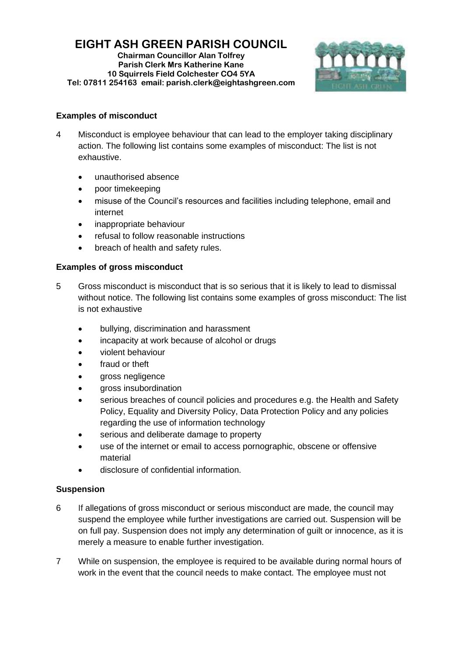# **EIGHT ASH GREEN PARISH COUNCIL**

**Chairman Councillor Alan Tolfrey Parish Clerk Mrs Katherine Kane 10 Squirrels Field Colchester CO4 5YA Tel: 07811 254163 email: parish.clerk@eightashgreen.com**



## **Examples of misconduct**

- 4 Misconduct is employee behaviour that can lead to the employer taking disciplinary action. The following list contains some examples of misconduct: The list is not exhaustive.
	- unauthorised absence
	- poor timekeeping
	- misuse of the Council's resources and facilities including telephone, email and internet
	- inappropriate behaviour
	- refusal to follow reasonable instructions
	- breach of health and safety rules.

## **Examples of gross misconduct**

- 5 Gross misconduct is misconduct that is so serious that it is likely to lead to dismissal without notice. The following list contains some examples of gross misconduct: The list is not exhaustive
	- bullying, discrimination and harassment
	- incapacity at work because of alcohol or drugs
	- violent behaviour
	- fraud or theft
	- gross negligence
	- gross insubordination
	- serious breaches of council policies and procedures e.g. the Health and Safety Policy, Equality and Diversity Policy, Data Protection Policy and any policies regarding the use of information technology
	- serious and deliberate damage to property
	- use of the internet or email to access pornographic, obscene or offensive material
	- disclosure of confidential information.

## **Suspension**

- 6 If allegations of gross misconduct or serious misconduct are made, the council may suspend the employee while further investigations are carried out. Suspension will be on full pay. Suspension does not imply any determination of guilt or innocence, as it is merely a measure to enable further investigation.
- 7 While on suspension, the employee is required to be available during normal hours of work in the event that the council needs to make contact. The employee must not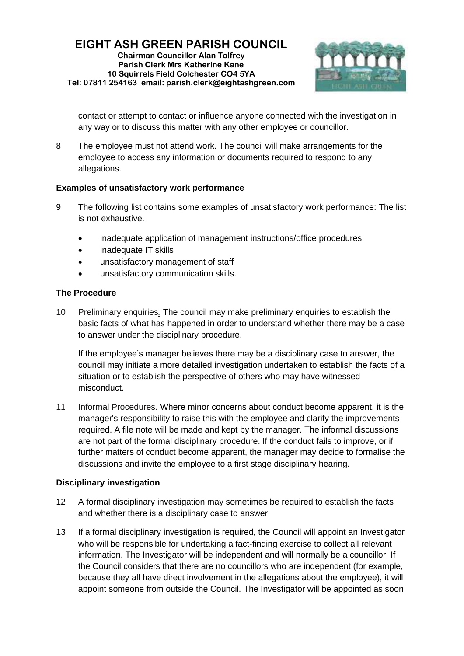

contact or attempt to contact or influence anyone connected with the investigation in any way or to discuss this matter with any other employee or councillor.

8 The employee must not attend work. The council will make arrangements for the employee to access any information or documents required to respond to any allegations.

## **Examples of unsatisfactory work performance**

- 9 The following list contains some examples of unsatisfactory work performance: The list is not exhaustive.
	- inadequate application of management instructions/office procedures
	- inadequate IT skills
	- unsatisfactory management of staff
	- unsatisfactory communication skills.

## **The Procedure**

10 Preliminary enquiries*.* The council may make preliminary enquiries to establish the basic facts of what has happened in order to understand whether there may be a case to answer under the disciplinary procedure.

If the employee's manager believes there may be a disciplinary case to answer, the council may initiate a more detailed investigation undertaken to establish the facts of a situation or to establish the perspective of others who may have witnessed misconduct.

11 Informal Procedures. Where minor concerns about conduct become apparent, it is the manager's responsibility to raise this with the employee and clarify the improvements required. A file note will be made and kept by the manager. The informal discussions are not part of the formal disciplinary procedure. If the conduct fails to improve, or if further matters of conduct become apparent, the manager may decide to formalise the discussions and invite the employee to a first stage disciplinary hearing.

## **Disciplinary investigation**

- 12 A formal disciplinary investigation may sometimes be required to establish the facts and whether there is a disciplinary case to answer.
- 13 If a formal disciplinary investigation is required, the Council will appoint an Investigator who will be responsible for undertaking a fact-finding exercise to collect all relevant information. The Investigator will be independent and will normally be a councillor. If the Council considers that there are no councillors who are independent (for example, because they all have direct involvement in the allegations about the employee), it will appoint someone from outside the Council. The Investigator will be appointed as soon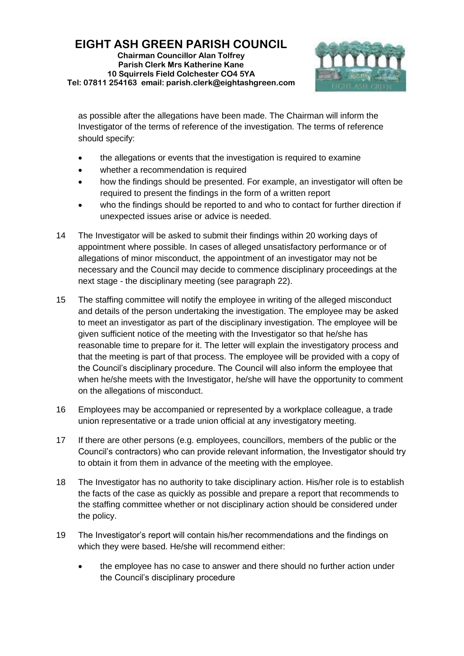

as possible after the allegations have been made. The Chairman will inform the Investigator of the terms of reference of the investigation. The terms of reference should specify:

- the allegations or events that the investigation is required to examine
- whether a recommendation is required
- how the findings should be presented. For example, an investigator will often be required to present the findings in the form of a written report
- who the findings should be reported to and who to contact for further direction if unexpected issues arise or advice is needed.
- 14 The Investigator will be asked to submit their findings within 20 working days of appointment where possible. In cases of alleged unsatisfactory performance or of allegations of minor misconduct, the appointment of an investigator may not be necessary and the Council may decide to commence disciplinary proceedings at the next stage - the disciplinary meeting (see paragraph 22).
- 15 The staffing committee will notify the employee in writing of the alleged misconduct and details of the person undertaking the investigation. The employee may be asked to meet an investigator as part of the disciplinary investigation. The employee will be given sufficient notice of the meeting with the Investigator so that he/she has reasonable time to prepare for it. The letter will explain the investigatory process and that the meeting is part of that process. The employee will be provided with a copy of the Council's disciplinary procedure. The Council will also inform the employee that when he/she meets with the Investigator, he/she will have the opportunity to comment on the allegations of misconduct.
- 16 Employees may be accompanied or represented by a workplace colleague, a trade union representative or a trade union official at any investigatory meeting.
- 17 If there are other persons (e.g. employees, councillors, members of the public or the Council's contractors) who can provide relevant information, the Investigator should try to obtain it from them in advance of the meeting with the employee.
- 18 The Investigator has no authority to take disciplinary action. His/her role is to establish the facts of the case as quickly as possible and prepare a report that recommends to the staffing committee whether or not disciplinary action should be considered under the policy.
- 19 The Investigator's report will contain his/her recommendations and the findings on which they were based. He/she will recommend either:
	- the employee has no case to answer and there should no further action under the Council's disciplinary procedure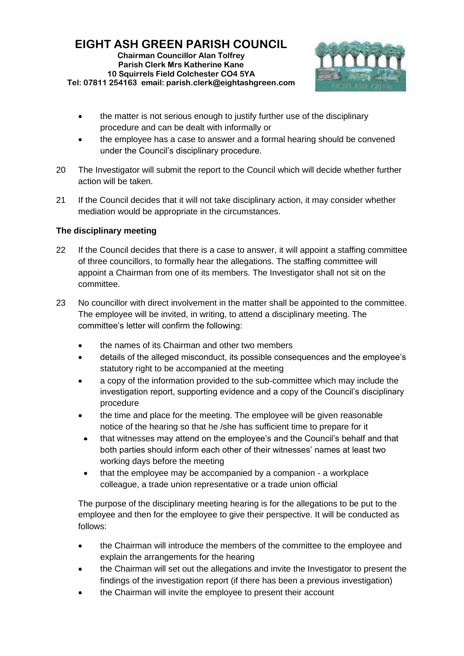

- the matter is not serious enough to justify further use of the disciplinary procedure and can be dealt with informally or
- the employee has a case to answer and a formal hearing should be convened under the Council's disciplinary procedure.
- 20 The Investigator will submit the report to the Council which will decide whether further action will be taken.
- 21 If the Council decides that it will not take disciplinary action, it may consider whether mediation would be appropriate in the circumstances.

## **The disciplinary meeting**

- 22 If the Council decides that there is a case to answer, it will appoint a staffing committee of three councillors, to formally hear the allegations. The staffing committee will appoint a Chairman from one of its members. The Investigator shall not sit on the committee.
- 23 No councillor with direct involvement in the matter shall be appointed to the committee. The employee will be invited, in writing, to attend a disciplinary meeting. The committee's letter will confirm the following:
	- the names of its Chairman and other two members
	- details of the alleged misconduct, its possible consequences and the employee's statutory right to be accompanied at the meeting
	- a copy of the information provided to the sub-committee which may include the investigation report, supporting evidence and a copy of the Council's disciplinary procedure
	- the time and place for the meeting. The employee will be given reasonable notice of the hearing so that he /she has sufficient time to prepare for it
	- that witnesses may attend on the employee's and the Council's behalf and that both parties should inform each other of their witnesses' names at least two working days before the meeting
	- that the employee may be accompanied by a companion a workplace colleague, a trade union representative or a trade union official

The purpose of the disciplinary meeting hearing is for the allegations to be put to the employee and then for the employee to give their perspective. It will be conducted as follows:

- the Chairman will introduce the members of the committee to the employee and explain the arrangements for the hearing
- the Chairman will set out the allegations and invite the Investigator to present the findings of the investigation report (if there has been a previous investigation)
- the Chairman will invite the employee to present their account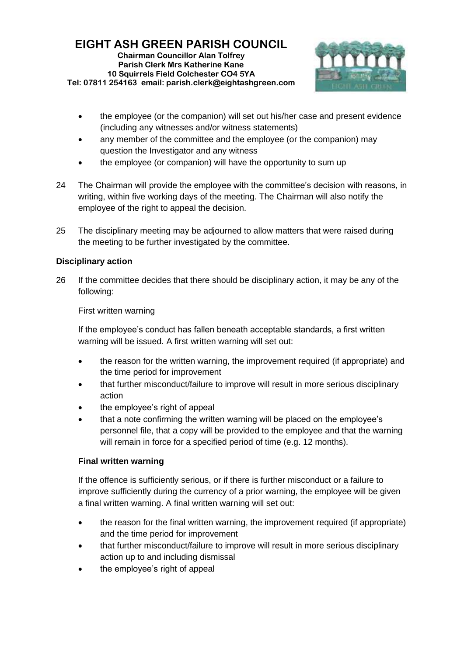

- the employee (or the companion) will set out his/her case and present evidence (including any witnesses and/or witness statements)
- any member of the committee and the employee (or the companion) may question the Investigator and any witness
- the employee (or companion) will have the opportunity to sum up
- 24 The Chairman will provide the employee with the committee's decision with reasons, in writing, within five working days of the meeting. The Chairman will also notify the employee of the right to appeal the decision.
- 25 The disciplinary meeting may be adjourned to allow matters that were raised during the meeting to be further investigated by the committee.

## **Disciplinary action**

26 If the committee decides that there should be disciplinary action, it may be any of the following:

First written warning

If the employee's conduct has fallen beneath acceptable standards, a first written warning will be issued. A first written warning will set out:

- the reason for the written warning, the improvement required (if appropriate) and the time period for improvement
- that further misconduct/failure to improve will result in more serious disciplinary action
- the employee's right of appeal
- that a note confirming the written warning will be placed on the employee's personnel file, that a copy will be provided to the employee and that the warning will remain in force for a specified period of time (e.g. 12 months).

## **Final written warning**

If the offence is sufficiently serious, or if there is further misconduct or a failure to improve sufficiently during the currency of a prior warning, the employee will be given a final written warning. A final written warning will set out:

- the reason for the final written warning, the improvement required (if appropriate) and the time period for improvement
- that further misconduct/failure to improve will result in more serious disciplinary action up to and including dismissal
- the employee's right of appeal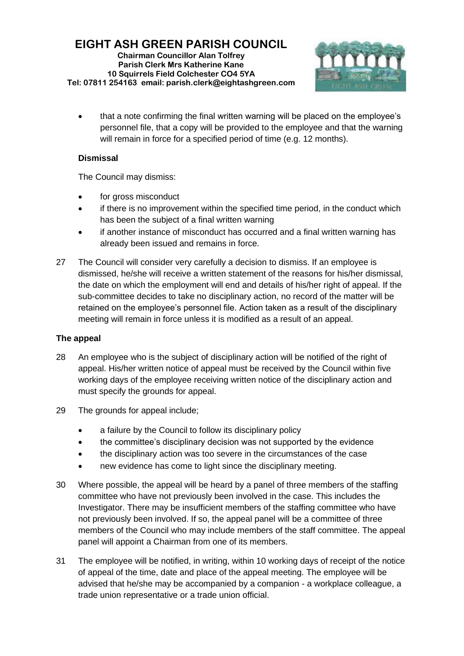

• that a note confirming the final written warning will be placed on the employee's personnel file, that a copy will be provided to the employee and that the warning will remain in force for a specified period of time (e.g. 12 months).

## **Dismissal**

The Council may dismiss:

- for gross misconduct
- if there is no improvement within the specified time period, in the conduct which has been the subject of a final written warning
- if another instance of misconduct has occurred and a final written warning has already been issued and remains in force.
- 27 The Council will consider very carefully a decision to dismiss. If an employee is dismissed, he/she will receive a written statement of the reasons for his/her dismissal, the date on which the employment will end and details of his/her right of appeal. If the sub-committee decides to take no disciplinary action, no record of the matter will be retained on the employee's personnel file. Action taken as a result of the disciplinary meeting will remain in force unless it is modified as a result of an appeal.

## **The appeal**

- 28 An employee who is the subject of disciplinary action will be notified of the right of appeal. His/her written notice of appeal must be received by the Council within five working days of the employee receiving written notice of the disciplinary action and must specify the grounds for appeal.
- 29 The grounds for appeal include;
	- a failure by the Council to follow its disciplinary policy
	- the committee's disciplinary decision was not supported by the evidence
	- the disciplinary action was too severe in the circumstances of the case
	- new evidence has come to light since the disciplinary meeting.
- 30 Where possible, the appeal will be heard by a panel of three members of the staffing committee who have not previously been involved in the case. This includes the Investigator. There may be insufficient members of the staffing committee who have not previously been involved. If so, the appeal panel will be a committee of three members of the Council who may include members of the staff committee. The appeal panel will appoint a Chairman from one of its members.
- 31 The employee will be notified, in writing, within 10 working days of receipt of the notice of appeal of the time, date and place of the appeal meeting. The employee will be advised that he/she may be accompanied by a companion - a workplace colleague, a trade union representative or a trade union official.